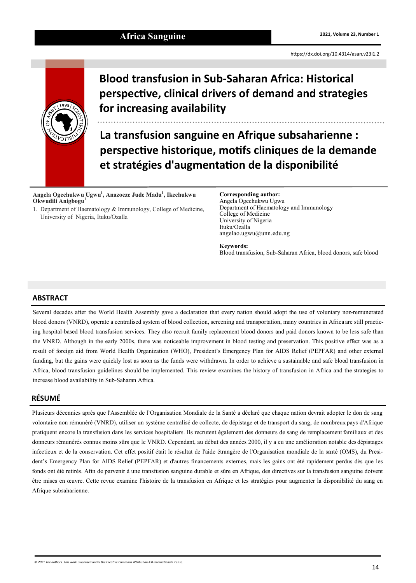<https://dx.doi.org/10.4314/asan.v23i1.2>



# **Blood transfusion in Sub-Saharan Africa: Historical perspective, clinical drivers of demand and strategies for increasing availability**

**La transfusion sanguine en Afrique subsaharienne : perspective historique, motifs cliniques de la demande et stratégies d'augmentation de la disponibilité**

**Angela Ogechukwu Ugwu<sup>1</sup> , Anazoeze Jude Madu<sup>1</sup> , Ikechukwu Okwudili Anigbogu<sup>1</sup>**

1. Department of Haematology & Immunology, College of Medicine, University of Nigeria, Ituku/Ozalla

**Corresponding author:** Angela Ogechukwu Ugwu Department of Haematology and Immunology College of Medicine University of Nigeria Ituku/Ozalla angelao.ugwu@unn.edu.ng

**Keywords:** Blood transfusion, Sub-Saharan Africa, blood donors, safe blood

## **ABSTRACT**

Several decades after the World Health Assembly gave a declaration that every nation should adopt the use of voluntary non-remunerated blood donors (VNRD), operate a centralised system of blood collection, screening and transportation, many countries in Africa are still practicing hospital-based blood transfusion services. They also recruit family replacement blood donors and paid donors known to be less safe than the VNRD. Although in the early 2000s, there was noticeable improvement in blood testing and preservation. This positive effect was as a result of foreign aid from World Health Organization (WHO), President's Emergency Plan for AIDS Relief (PEPFAR) and other external funding, but the gains were quickly lost as soon as the funds were withdrawn. In order to achieve a sustainable and safe blood transfusion in Africa, blood transfusion guidelines should be implemented. This review examines the history of transfusion in Africa and the strategies to increase blood availability in Sub-Saharan Africa.

## **RÉSUMÉ**

Plusieurs décennies après que l'Assemblée de l'Organisation Mondiale de la Santé a déclaré que chaque nation devrait adopter le don de sang volontaire non rémunéré (VNRD), utiliser un système centralisé de collecte, de dépistage et de transport du sang, de nombreux pays d'Afrique pratiquent encore la transfusion dans les services hospitaliers. Ils recrutent également des donneurs de sang de remplacement familiaux et des donneurs rémunérés connus moins sûrs que le VNRD. Cependant, au début des années 2000, il y a eu une amélioration notable des dépistages infectieux et de la conservation. Cet effet positif était le résultat de l'aide étrangère de l'Organisation mondiale de la santé (OMS), du President's Emergency Plan for AIDS Relief (PEPFAR) et d'autres financements externes, mais les gains ont été rapidement perdus dès que les fonds ont été retirés. Afin de parvenir à une transfusion sanguine durable et sûre en Afrique, des directives sur la transfusion sanguine doivent être mises en œuvre. Cette revue examine l'histoire de la transfusion en Afrique et les stratégies pour augmenter la disponibilité du sang en Afrique subsaharienne.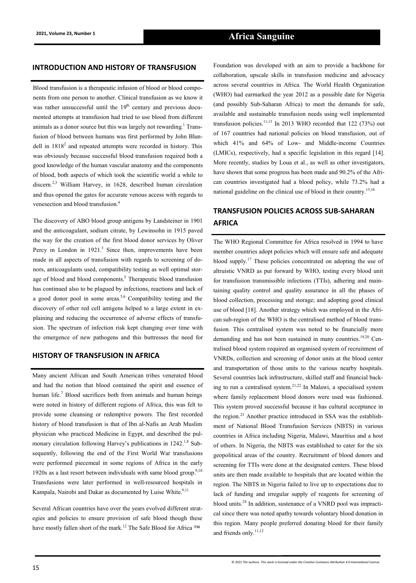#### **INTRODUCTION AND HISTORY OF TRANSFUSION**

Blood transfusion is a therapeutic infusion of blood or blood components from one person to another. Clinical transfusion as we know it was rather unsuccessful until the  $19<sup>th</sup>$  century and previous documented attempts at transfusion had tried to use blood from different animals as a donor source but this was largely not rewarding.<sup>1</sup> Transfusion of blood between humans was first performed by John Blundell in  $1818<sup>2</sup>$  and repeated attempts were recorded in history. This was obviously because successful blood transfusion required both a good knowledge of the human vascular anatomy and the components of blood, both aspects of which took the scientific world a while to discern.<sup>2,3</sup> William Harvey, in 1628, described human circulation and thus opened the gates for accurate venous access with regards to venesection and blood transfusion.<sup>4</sup>

The discovery of ABO blood group antigens by Landsteiner in 1901 and the anticoagulant, sodium citrate, by Lewinsohn in 1915 paved the way for the creation of the first blood donor services by Oliver Percy in London in  $1921$ <sup>3</sup> Since then, improvements have been made in all aspects of transfusion with regards to screening of donors, anticoagulants used, compatibility testing as well optimal storage of blood and blood components.<sup>5</sup> Therapeutic blood transfusion has continued also to be plagued by infections, reactions and lack of a good donor pool in some areas.<sup>5,6</sup> Compatibility testing and the discovery of other red cell antigens helped to a large extent in explaining and reducing the occurrence of adverse effects of transfusion. The spectrum of infection risk kept changing over time with the emergence of new pathogens and this buttresses the need for

## **HISTORY OF TRANSFUSION IN AFRICA**

Many ancient African and South American tribes venerated blood and had the notion that blood contained the spirit and essence of human life.<sup>7</sup> Blood sacrifices both from animals and human beings were noted in history of different regions of Africa, this was felt to provide some cleansing or redemptive powers. The first recorded history of blood transfusion is that of Ibn al-Nafis an Arab Muslim physician who practiced Medicine in Egypt, and described the pulmonary circulation following Harvey's publications in 1242.<sup>1,8</sup> Subsequently, following the end of the First World War transfusions were performed piecemeal in some regions of Africa in the early 1920s as a last resort between individuals with same blood group.<sup>9,10</sup> Transfusions were later performed in well-resourced hospitals in Kampala, Nairobi and Dakar as documented by Luise White.<sup>9,11</sup>

Several African countries have over the years evolved different strategies and policies to ensure provision of safe blood though these have mostly fallen short of the mark.<sup>12</sup> The Safe Blood for Africa ™

Foundation was developed with an aim to provide a backbone for collaboration, upscale skills in transfusion medicine and advocacy across several countries in Africa. The World Health Organization (WHO) had earmarked the year 2012 as a possible date for Nigeria (and possibly Sub-Saharan Africa) to meet the demands for safe, available and sustainable transfusion needs using well implemented transfusion policies.<sup>11,13</sup> In 2013 WHO recorded that  $122$  (73%) out of 167 countries had national policies on blood transfusion, out of which 41% and 64% of Low- and Middle-income Countries (LMICs), respectively, had a specific legislation in this regard [14]. More recently, studies by Loua et al., as well as other investigators, have shown that some progress has been made and 90.2% of the African countries investigated had a blood policy, while 73.2% had a national guideline on the clinical use of blood in their country.15,16

## **TRANSFUSION POLICIES ACROSS SUB-SAHARAN AFRICA**

The WHO Regional Committee for Africa resolved in 1994 to have member countries adopt policies which will ensure safe and adequate blood supply.<sup>17</sup> These policies concentrated on adopting the use of altruistic VNRD as put forward by WHO, testing every blood unit for transfusion transmissible infections (TTIs), adhering and maintaining quality control and quality assurance in all the phases of blood collection, processing and storage; and adopting good clinical use of blood [18]. Another strategy which was employed in the African sub-region of the WHO is the centralised method of blood transfusion. This centralised system was noted to be financially more demanding and has not been sustained in many countries.<sup>19,20</sup> Centralised blood system required an organised system of recruitment of VNRDs, collection and screening of donor units at the blood center and transportation of those units to the various nearby hospitals. Several countries lack infrastructure, skilled staff and financial backing to run a centralised system.<sup>21,22</sup> In Malawi, a specialised system where family replacement blood donors were used was fashioned. This system proved successful because it has cultural acceptance in the region.<sup>23</sup> Another practice introduced in SSA was the establishment of National Blood Transfusion Services (NBTS) in various countries in Africa including Nigeria, Malawi, Mauritius and a host of others. In Nigeria, the NBTS was established to cater for the six geopolitical areas of the country. Recruitment of blood donors and screening for TTIs were done at the designated centers. These blood units are then made available to hospitals that are located within the region. The NBTS in Nigeria failed to live up to expectations due to lack of funding and irregular supply of reagents for screening of blood units.<sup>24</sup> In addition, sustenance of a VNRD pool was impractical since there was noted apathy towards voluntary blood donation in this region. Many people preferred donating blood for their family and friends only.<sup>11,12</sup>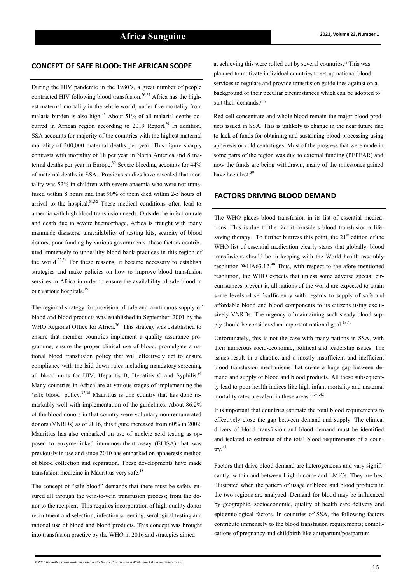During the HIV pandemic in the 1980's, a great number of people contracted HIV following blood transfusion.<sup>26,27</sup> Africa has the highest maternal mortality in the whole world, under five mortality from malaria burden is also high.<sup>28</sup> About 51% of all malarial deaths occurred in African region according to 2019 Report.<sup>29</sup> In addition, SSA accounts for majority of the countries with the highest maternal mortality of 200,000 maternal deaths per year. This figure sharply contrasts with mortality of 18 per year in North America and 8 maternal deaths per year in Europe.<sup>30</sup> Severe bleeding accounts for 44% of maternal deaths in SSA. Previous studies have revealed that mortality was 52% in children with severe anaemia who were not transfused within 8 hours and that 90% of them died within 2-5 hours of arrival to the hospital. $31,32$  These medical conditions often lead to anaemia with high blood transfusion needs. Outside the infection rate and death due to severe haemorrhage, Africa is fraught with many manmade disasters, unavailability of testing kits, scarcity of blood donors, poor funding by various governments- these factors contributed immensely to unhealthy blood bank practices in this region of the world.<sup>33,34</sup> For these reasons, it became necessary to establish strategies and make policies on how to improve blood transfusion services in Africa in order to ensure the availability of safe blood in our various hospitals.<sup>35</sup>

The regional strategy for provision of safe and continuous supply of blood and blood products was established in September, 2001 by the WHO Regional Office for Africa.<sup>36</sup> This strategy was established to ensure that member countries implement a quality assurance programme, ensure the proper clinical use of blood, promulgate a national blood transfusion policy that will effectively act to ensure compliance with the laid down rules including mandatory screening all blood units for HIV, Hepatitis B, Hepatitis C and Syphilis.<sup>36</sup> Many countries in Africa are at various stages of implementing the 'safe blood' policy.37,38 Mauritius is one country that has done remarkably well with implementation of the guidelines. About 86.2% of the blood donors in that country were voluntary non-remunerated donors (VNRDs) as of 2016, this figure increased from 60% in 2002. Mauritius has also embarked on use of nucleic acid testing as opposed to enzyme-linked immunosorbent assay (ELISA) that was previously in use and since 2010 has embarked on aphaeresis method of blood collection and separation. These developments have made transfusion medicine in Mauritius very safe.<sup>18</sup>

The concept of "safe blood" demands that there must be safety ensured all through the vein-to-vein transfusion process; from the donor to the recipient. This requires incorporation of high-quality donor recruitment and selection, infection screening, serological testing and rational use of blood and blood products. This concept was brought into transfusion practice by the WHO in 2016 and strategies aimed

**CONCEPT OF SAFE BLOOD: THE AFRICAN SCOPE** at achieving this were rolled out by several countries.<sup>14</sup> This was planned to motivate individual countries to set up national blood services to regulate and provide transfusion guidelines against on a background of their peculiar circumstances which can be adopted to suit their demands.<sup>14,18</sup>

> Red cell concentrate and whole blood remain the major blood products issued in SSA. This is unlikely to change in the near future due to lack of funds for obtaining and sustaining blood processing using apheresis or cold centrifuges. Most of the progress that were made in some parts of the region was due to external funding (PEPFAR) and now the funds are being withdrawn, many of the milestones gained have been lost.<sup>39</sup>

#### **FACTORS DRIVING BLOOD DEMAND**

The WHO places blood transfusion in its list of essential medications. This is due to the fact it considers blood transfusion a lifesaving therapy. To further buttress this point, the  $21<sup>st</sup>$  edition of the WHO list of essential medication clearly states that globally, blood transfusions should be in keeping with the World health assembly resolution WHA63.12.<sup>40</sup> Thus, with respect to the afore mentioned resolution, the WHO expects that unless some adverse special circumstances prevent it, all nations of the world are expected to attain some levels of self-sufficiency with regards to supply of safe and affordable blood and blood components to its citizens using exclusively VNRDs. The urgency of maintaining such steady blood supply should be considered an important national goal.<sup>13,40</sup>

Unfortunately, this is not the case with many nations in SSA, with their numerous socio-economic, political and leadership issues. The issues result in a chaotic, and a mostly insufficient and inefficient blood transfusion mechanisms that create a huge gap between demand and supply of blood and blood products. All these subsequently lead to poor health indices like high infant mortality and maternal mortality rates prevalent in these areas.<sup>11,41,42</sup>

It is important that countries estimate the total blood requirements to effectively close the gap between demand and supply. The clinical drivers of blood transfusion and blood demand must be identified and isolated to estimate of the total blood requirements of a coun $try.<sup>41</sup>$ 

Factors that drive blood demand are heterogeneous and vary significantly, within and between High-Income and LMICs. They are best illustrated when the pattern of usage of blood and blood products in the two regions are analyzed. Demand for blood may be influenced by geographic, socioeconomic, quality of health care delivery and epidemiological factors. In countries of SSA, the following factors contribute immensely to the blood transfusion requirements; complications of pregnancy and childbirth like antepartum/postpartum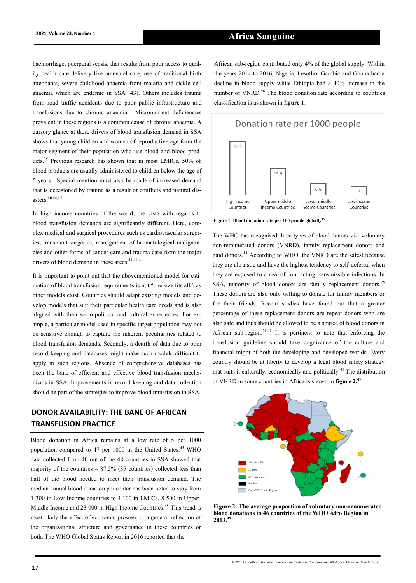## **2021, Volume 23, Number 1 Africa Sanguine**

haemorrhage, puerperal sepsis, that results from poor access to quality health care delivery like antenatal care, use of traditional birth attendants, severe childhood anaemia from malaria and sickle cell anaemia which are endemic in SSA [43]. Others includes trauma from road traffic accidents due to poor public infrastructure and transfusions due to chronic anaemia. Micronutrient deficiencies prevalent in these regions is a common cause of chronic anaemia. A cursory glance at these drivers of blood transfusion demand in SSA shows that young children and women of reproductive age form the major segment of their population who use blood and blood products.<sup>35</sup> Previous research has shown that in most LMICs, 50% of blood products are usually administered to children below the age of 5 years. Special mention must also be made of increased demand that is occasioned by trauma as a result of conflicts and natural disasters.40,44,45

In high income countries of the world, the vista with regards to blood transfusion demands are significantly different. Here, complex medical and surgical procedures such as cardiovascular surgeries, transplant surgeries, management of haematological malignancies and other forms of cancer care and trauma care form the major drivers of blood demand in these areas.<sup>41,41,44</sup>

It is important to point out that the abovementioned model for estimation of blood transfusion requirements is not "one size fits all", as other models exist. Countries should adapt existing models and develop models that suit their particular health care needs and is also aligned with their socio-political and cultural experiences. For example, a particular model used in specific target population may not be sensitive enough to capture the inherent peculiarities related to blood transfusion demands. Secondly, a dearth of data due to poor record keeping and databases might make such models difficult to apply in such regions. Absence of comprehensive databases has been the bane of efficient and effective blood transfusion mechanisms in SSA. Improvements in record keeping and data collection should be part of the strategies to improve blood transfusion in SSA.

## **DONOR AVAILABILITY: THE BANE OF AFRICAN TRANSFUSION PRACTICE**

Blood donation in Africa remains at a low rate of 5 per 1000 population compared to 47 per 1000 in the United States.<sup>45</sup> WHO data collected from 40 out of the 48 countries in SSA showed that majority of the countries  $-87.5\%$  (35 countries) collected less than half of the blood needed to meet their transfusion demand. The median annual blood donation per center has been noted to vary from 1 300 in Low-Income countries to 4 100 in LMICs, 8 500 in Upper-Middle Income and 23 000 in High Income Countries.<sup>45</sup> This trend is most likely the effect of economic prowess or a general reflection of the organisational structure and governance in these countries or both. The WHO Global Status Report in 2016 reported that the

African sub-region contributed only 4% of the global supply. Within the years 2014 to 2016, Nigeria, Lesotho, Gambia and Ghana had a decline in blood supply while Ethiopia had a 40% increase in the number of VNRD.<sup>46</sup> The blood donation rate according to countries classification is as shown in **figure 1**.



**Figure 1: Blood donation rate per 100 people globally<sup>45</sup>**

The WHO has recognised three types of blood donors viz: voluntary non-remunerated donors (VNRD), family replacement donors and paid donors.<sup>14</sup> According to WHO, the VNRD are the safest because they are altruistic and have the highest tendency to self-deferral when they are exposed to a risk of contracting transmissible infections. In SSA, majority of blood donors are family replacement donors.<sup>25</sup> These donors are also only willing to donate for family members or for their friends. Recent studies have found out that a greater percentage of these replacement donors are repeat donors who are also safe and thus should be allowed to be a source of blood donors in African sub-region.<sup>21,47</sup> It is pertinent to note that enforcing the transfusion guideline should take cognizance of the culture and financial might of both the developing and developed worlds. Every country should be at liberty to develop a legal blood safety strategy that suits it culturally, economically and politically.<sup>48</sup>The distribution of VNRD in some countries in Africa is shown in **figure 2.**<sup>49</sup>



**Figure 2: The average proportion of voluntary non-remunerated blood donations in 46 countries of the WHO Afro Region in 2013.<sup>49</sup>**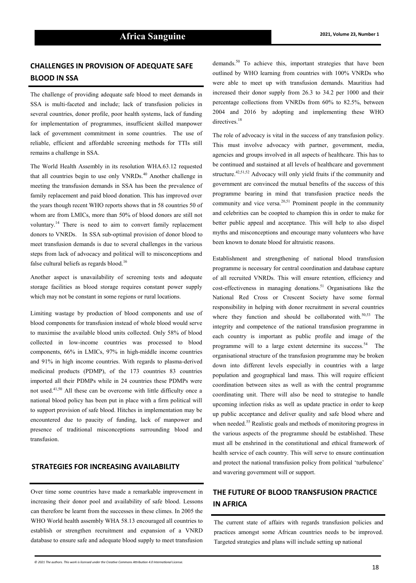## **CHALLENGES IN PROVISION OF ADEQUATE SAFE BLOOD IN SSA**

The challenge of providing adequate safe blood to meet demands in SSA is multi-faceted and include; lack of transfusion policies in several countries, donor profile, poor health systems, lack of funding for implementation of programmes, insufficient skilled manpower lack of government commitment in some countries. The use of reliable, efficient and affordable screening methods for TTIs still remains a challenge in SSA.

The World Health Assembly in its resolution WHA.63.12 requested that all countries begin to use only VNRDs.<sup>40</sup> Another challenge in meeting the transfusion demands in SSA has been the prevalence of family replacement and paid blood donation. This has improved over the years though recent WHO reports shows that in 58 countries 50 of whom are from LMICs, more than 50% of blood donors are still not voluntary.<sup>14</sup> There is need to aim to convert family replacement donors to VNRDs. In SSA sub-optimal provision of donor blood to meet transfusion demands is due to several challenges in the various steps from lack of advocacy and political will to misconceptions and false cultural beliefs as regards blood.<sup>16</sup>

Another aspect is unavailability of screening tests and adequate storage facilities as blood storage requires constant power supply which may not be constant in some regions or rural locations.

Limiting wastage by production of blood components and use of blood components for transfusion instead of whole blood would serve to maximise the available blood units collected. Only 58% of blood collected in low-income countries was processed to blood components, 66% in LMICs, 97% in high-middle income countries and 91% in high income countries. With regards to plasma-derived medicinal products (PDMP), of the 173 countries 83 countries imported all their PDMPs while in 24 countries these PDMPs were not used.<sup>41,50</sup> All these can be overcome with little difficulty once a national blood policy has been put in place with a firm political will to support provision of safe blood. Hitches in implementation may be encountered due to paucity of funding, lack of manpower and presence of traditional misconceptions surrounding blood and transfusion.

#### **STRATEGIES FOR INCREASING AVAILABILITY**

Over time some countries have made a remarkable improvement in increasing their donor pool and availability of safe blood. Lessons can therefore be learnt from the successes in these climes. In 2005 the WHO World health assembly WHA 58.13 encouraged all countries to establish or strengthen recruitment and expansion of a VNRD database to ensure safe and adequate blood supply to meet transfusion

demands.<sup>50</sup> To achieve this, important strategies that have been outlined by WHO learning from countries with 100% VNRDs who were able to meet up with transfusion demands. Mauritius had increased their donor supply from 26.3 to 34.2 per 1000 and their percentage collections from VNRDs from 60% to 82.5%, between 2004 and 2016 by adopting and implementing these WHO directives.<sup>18</sup>

The role of advocacy is vital in the success of any transfusion policy. This must involve advocacy with partner, government, media, agencies and groups involved in all aspects of healthcare. This has to be continued and sustained at all levels of healthcare and government structure.<sup>42,51,52</sup> Advocacy will only yield fruits if the community and government are convinced the mutual benefits of the success of this programme bearing in mind that transfusion practice needs the community and vice versa. $20,51$  Prominent people in the community and celebrities can be coopted to champion this in order to make for better public appeal and acceptance. This will help to also dispel myths and misconceptions and encourage many volunteers who have been known to donate blood for altruistic reasons.

Establishment and strengthening of national blood transfusion programme is necessary for central coordination and database capture of all recruited VNRDs. This will ensure retention, efficiency and cost-effectiveness in managing donations.<sup>51</sup> Organisations like the National Red Cross or Crescent Society have some formal responsibility in helping with donor recruitment in several countries where they function and should be collaborated with. $50,53$  The integrity and competence of the national transfusion programme in each country is important as public profile and image of the programme will to a large extent determine its success.<sup>54</sup> The organisational structure of the transfusion programme may be broken down into different levels especially in countries with a large population and geographical land mass. This will require efficient coordination between sites as well as with the central programme coordinating unit. There will also be need to strategise to handle upcoming infection risks as well as update practice in order to keep up public acceptance and deliver quality and safe blood where and when needed.<sup>55</sup> Realistic goals and methods of monitoring progress in the various aspects of the programme should be established. These must all be enshrined in the constitutional and ethical framework of health service of each country. This will serve to ensure continuation and protect the national transfusion policy from political 'turbulence' and wavering government will or support.

## **THE FUTURE OF BLOOD TRANSFUSION PRACTICE IN AFRICA**

The current state of affairs with regards transfusion policies and practices amongst some African countries needs to be improved. Targeted strategies and plans will include setting up national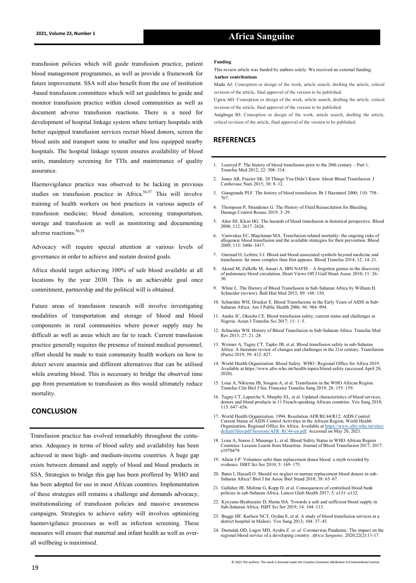## **2021, Volume 23, Number 1 Africa Sanguine**

transfusion policies which will guide transfusion practice, patient blood management programmes, as well as provide a framework for future improvement. SSA will also benefit from the use of institution -based transfusion committees which will set guidelines to guide and monitor transfusion practice within closed communities as well as document adverse transfusion reactions. There is a need for development of hospital linkage system where tertiary hospitals with better equipped transfusion services recruit blood donors, screen the blood units and transport same to smaller and less equipped nearby hospitals. The hospital linkage system ensures availability of blood units, mandatory screening for TTIs and maintenance of quality assurance.

Haemovigilance practice was observed to be lacking in previous studies on transfusion practice in Africa.<sup>56,57</sup> This will involve training of health workers on best practices in various aspects of transfusion medicine; blood donation, screening transportation, storage and transfusion as well as monitoring and documenting adverse reactions.<sup>56,58</sup>

Advocacy will require special attention at various levels of governance in order to achieve and sustain desired goals.

Africa should target achieving 100% of safe blood available at all locations by the year 2030. This is an achievable goal once commitment, partnership and the political will is obtained.

Future areas of transfusion research will involve investigating modalities of transportation and storage of blood and blood components in rural communities where power supply may be difficult as well as areas which are far to reach. Current transfusion practice generally requires the presence of trained medical personnel, effort should be made to train community health workers on how to detect severe anaemia and different alternatives that can be utilised while awaiting blood. This is necessary to bridge the observed time gap from presentation to transfusion as this would ultimately reduce mortality.

### **CONCLUSION**

Transfusion practice has evolved remarkably throughout the centuaries. Adequacy in terms of blood safety and availability has been achieved in most high- and medium-income countries. A huge gap exists between demand and supply of blood and blood products in SSA. Strategies to bridge this gap has been proffered by WHO and has been adopted for use in most African countries. Implementation of these strategies still remains a challenge and demands advocacy, institutionalizing of transfusion policies and massive awareness campaigns. Strategies to achieve safety will involves optimizing haemovigilance processes as well as infection screening. These measures will ensure that maternal and infant health as well as overall wellbeing is maximised.

#### **Funding**:

This review article was funded by authors solely. We received no external funding. **Author contributions**

Madu AJ: Conception or design of the work, article search, drafting the article, critical revision of the article, final approval of the version to be published.

Ugwu AO: Conception or design of the work, article search, drafting the article, critical revision of the article, final approval of the version to be published.

Anigbogu IO: Conception or design of the work, article search, drafting the article, critical revision of the article, final approval of the version to be published.

### **REFERENCES**

- 1. Learoyd P. The history of blood transfusion prior to the 20th century Part 1. Transfus Med 2012; 22: 308–314.
- 2. Jones AR, Frazier SK. 20 Things You Didn't Know About Blood Transfusion: J Cardiovasc Nurs 2015; 30: 8–12.
- 3. Giangrande PLF. The history of blood transfusion. Br J Haematol 2000; 110: 758– 767.
- 4. Thompson P, Strandenes G. The History of Fluid Resuscitation for Bleeding. Damage Control Resusc 2019; 3–29.
- 5. Alter HJ, Klein HG. The hazards of blood transfusion in historical perspective. Blood 2008; 112: 2617–2626.
- 6. Vamvakas EC, Blajchman MA. Transfusion-related mortality: the ongoing risks of allogeneic blood transfusion and the available strategies for their prevention. Blood 2009; 113: 3406–3417.
- 7. Garraud O, Lefrère J-J. Blood and blood-associated symbols beyond medicine and transfusion: far more complex than first appears. Blood Transfus 2014; 12: 14–21.
- 8. Akmal M, Zulkifle M, Ansari A. IBN NAFIS A forgotten genius in the discovery of pulmonary blood circulation. Heart Views Off J Gulf Heart Assoc 2010; 11: 26– 30.
- 9. White L. The History of Blood Transfusion in Sub-Saharan Africa by William H. Schneider (review). Bull Hist Med 2015; 89: 148–150.
- 10. Schneider WH, Drucker E. Blood Transfusions in the Early Years of AIDS in Sub-Saharan Africa. Am J Public Health 2006; 96: 984–994.
- 11. Aneke JC, Okocha CE. Blood transfusion safety; current status and challenges in Nigeria. Asian J Transfus Sci 2017; 11: 1–5.
- 12. Schneider WH. History of Blood Transfusion in Sub-Saharan Africa. Transfus Med Rev 2013; 27: 21–28.
- 13. Weimer A, Tagny CT, Tapko JB, et al. Blood transfusion safety in sub-Saharan Africa: A literature review of changes and challenges in the 21st century. Transfusion (Paris) 2019; 59: 412–427.
- 14. World Health Organization. Blood Safety. WHO | Regional Office for Africa 2019. Available at https://www.afro.who.int/health-topics/blood-safety (accessed April 20, 2020).
- 15. Loua A, Nikiema JB, Sougou A, et al. Transfusion in the WHO African Region. Transfus Clin Biol J Soc Francaise Transfus Sang 2019; 26: 155–159.
- 16. Tagny CT, Laperche S, Murphy EL, et al. Updated characteristics of blood services, donors and blood products in 11 French-speaking African countries. Vox Sang 2018; 113: 647–656.
- 17. World Health Organization. 1994. Resolution AFR/RC44/R12: AIDS Control: Current Status of AIDS Control Activities in the African Region, World Health Organization, Regional Office for Africa. Available at [https://www.afro.who.int/sites/](https://www.afro.who.int/sites/default/files/pdf/Sessions/AFR_RC44-en.pdf) [default/files/pdf/Sessions/AFR\\_RC44](https://www.afro.who.int/sites/default/files/pdf/Sessions/AFR_RC44-en.pdf)-en.pdf. Accessed on May 20, 2021.
- 18. Loua A, Sonoo J, Musango L, et al. Blood Safety Status in WHO African Region Countries: Lessons Learnt from Mauritius. Journal of Blood Transfusion 2017; 2017: e1970479.
- 19. Allain J-P. Volunteer safer than replacement donor blood: a myth revealed by evidence. ISBT Sci Ser 2010; 5: 169–175.
- 20. Bates I, Hassall O. Should we neglect or nurture replacement blood donors in sub-Saharan Africa? Biol J Int Assoc Biol Stand 2010; 38: 65–67.
- 21. Gallaher JR, Mulima G, Kopp D, et al. Consequences of centralised blood bank policies in sub-Saharan Africa. Lancet Glob Health 2017; 5: e131–e132.
- 22. Kyeyune-Byabazaire D, Hume HA. Towards a safe and sufficient blood supply in Sub-Saharan Africa. ISBT Sci Ser 2019; 14: 104–113.
- 23. Bugge HF, Karlsen NCT, Oydna E, et al. A study of blood transfusion services at a district hospital in Malawi. Vox Sang 2013; 104: 37–45.
- 24. Damulak OD, Lugos MD, Ayuba Z. *et. al.* Coronavirus Pandemic: The impact on the regional blood service of a developing country. *Africa Sanguine.* 2020;22(2):11-17.